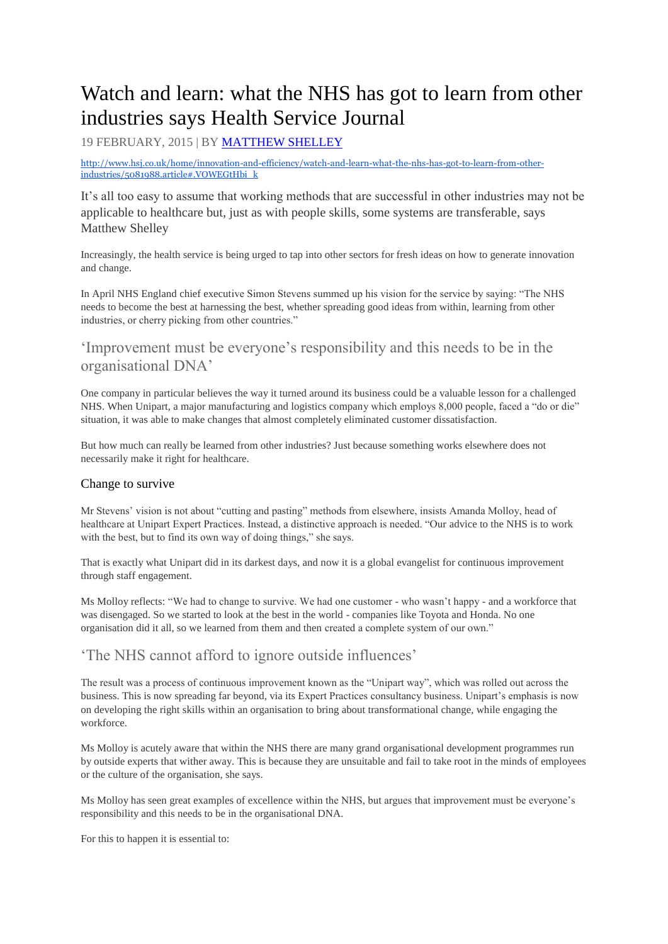# Watch and learn: what the NHS has got to learn from other industries says Health Service Journal

19 FEBRUARY, 2015 | BY [MATTHEW SHELLEY](http://www.hsj.co.uk/matthew-shelley/1204433.bio)

[http://www.hsj.co.uk/home/innovation-and-efficiency/watch-and-learn-what-the-nhs-has-got-to-learn-from-other](http://www.hsj.co.uk/home/innovation-and-efficiency/watch-and-learn-what-the-nhs-has-got-to-learn-from-other-industries/5081988.article#.VOWEGtHbi_k)[industries/5081988.article#.VOWEGtHbi\\_k](http://www.hsj.co.uk/home/innovation-and-efficiency/watch-and-learn-what-the-nhs-has-got-to-learn-from-other-industries/5081988.article#.VOWEGtHbi_k)

It"s all too easy to assume that working methods that are successful in other industries may not be applicable to healthcare but, just as with people skills, some systems are transferable, says Matthew Shelley

Increasingly, the health service is being urged to tap into other sectors for fresh ideas on how to generate innovation and change.

In April NHS England chief executive Simon Stevens summed up his vision for the service by saying: "The NHS needs to become the best at harnessing the best, whether spreading good ideas from within, learning from other industries, or cherry picking from other countries."

## "Improvement must be everyone"s responsibility and this needs to be in the organisational DNA"

One company in particular believes the way it turned around its business could be a valuable lesson for a challenged NHS. When Unipart, a major manufacturing and logistics company which employs 8,000 people, faced a "do or die" situation, it was able to make changes that almost completely eliminated customer dissatisfaction.

But how much can really be learned from other industries? Just because something works elsewhere does not necessarily make it right for healthcare.

#### Change to survive

Mr Stevens" vision is not about "cutting and pasting" methods from elsewhere, insists Amanda Molloy, head of healthcare at Unipart Expert Practices. Instead, a distinctive approach is needed. "Our advice to the NHS is to work with the best, but to find its own way of doing things," she says.

That is exactly what Unipart did in its darkest days, and now it is a global evangelist for continuous improvement through staff engagement.

Ms Molloy reflects: "We had to change to survive. We had one customer - who wasn"t happy - and a workforce that was disengaged. So we started to look at the best in the world - companies like Toyota and Honda. No one organisation did it all, so we learned from them and then created a complete system of our own."

## The NHS cannot afford to ignore outside influences'

The result was a process of continuous improvement known as the "Unipart way", which was rolled out across the business. This is now spreading far beyond, via its Expert Practices consultancy business. Unipart"s emphasis is now on developing the right skills within an organisation to bring about transformational change, while engaging the workforce.

Ms Molloy is acutely aware that within the NHS there are many grand organisational development programmes run by outside experts that wither away. This is because they are unsuitable and fail to take root in the minds of employees or the culture of the organisation, she says.

Ms Molloy has seen great examples of excellence within the NHS, but argues that improvement must be everyone"s responsibility and this needs to be in the organisational DNA.

For this to happen it is essential to: